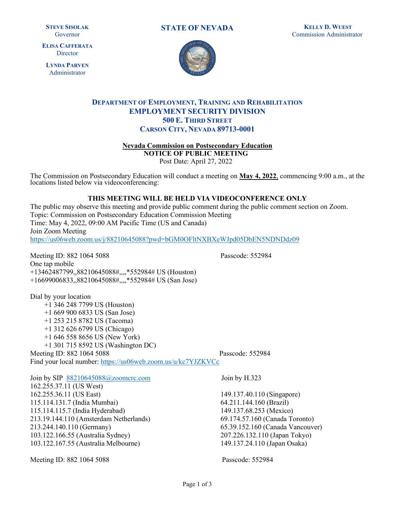**STEVE SISOLAK**  Governor

**ELISA CAFFERATA Director** 

**LYNDA PARVEN**  Administrator

**STATE OF NEVADA KELLY D. WUEST** 





## **500 E. THIRD STREET DEPARTMENT OF EMPLOYMENT, TRAINING AND REHABILITATION EMPLOYMENT SECURITY DIVISION CARSON CITY, NEVADA 89713-0001**

**Nevada Commission on Postsecondary Education**

**NOTICE OF PUBLIC MEETING** 

Post Date: April 27, 2022

The Commission on Postsecondary Education will conduct a meeting on **May 4, 2022**, commencing 9:00 a.m., at the locations listed below via videoconferencing:

#### **THIS MEETING WILL BE HELD VIA VIDEOCONFERENCE ONLY**

The public may observe this meeting and provide public comment during the public comment section on Zoom. Topic: Commission on Postsecondary Education Commission Meeting Time: May 4, 2022, 09:00 AM Pacific Time (US and Canada) Join Zoom Meeting <https://us06web.zoom.us/j/88210645088?pwd=bGM0OFltNXBXeWJpd05DbEN5NDNDdz09>

 +16699006833,,88210645088#,,,,\*552984# US (San Jose) Meeting ID: 882 1064 5088 Passcode: 552984 One tap mobile +13462487799,,88210645088#,,,,\*552984# US (Houston)

Dial by your location +1 346 248 7799 US (Houston) +1 669 900 6833 US (San Jose) +1 253 215 8782 US (Tacoma) +1 312 626 6799 US (Chicago) +1 646 558 8656 US (New York) +1 301 715 8592 US (Washington DC)

Meeting ID: 882 1064 5088 Passcode: 552984 Find your local number:<https://us06web.zoom.us/u/kc7YJZKVCc>

Join by SIP [88210645088@zoomcrc.com](mailto:88210645088@zoomcrc.com) Join by H.323 162.255.37.11 (US West) 162.255.36.11 (US East) 149.137.40.110 (Singapore) 115.114.131.7 (India Mumbai) 64.211.144.160 (Brazil) 115.114.115.7 (India Hyderabad) 149.137.68.253 (Mexico) 213.19.144.110 (Amsterdam Netherlands) 69.174.57.160 (Canada Toronto) 213.244.140.110 (Germany) 65.39.152.160 (Canada Vancouver) 103.122.166.55 (Australia Sydney) 207.226.132.110 (Japan Tokyo) 103.122.167.55 (Australia Melbourne) 149.137.24.110 (Japan Osaka)

Meeting ID: 882 1064 5088 **Passcode: 552984** Passcode: 552984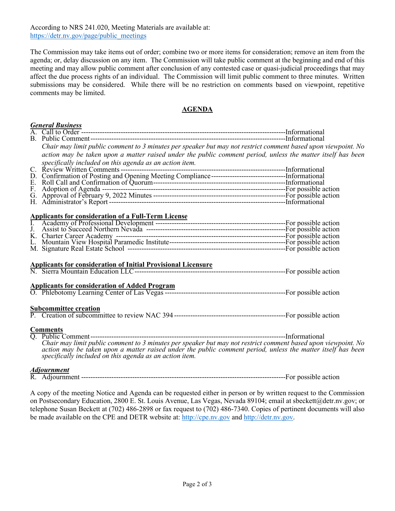According to NRS 241.020, Meeting Materials are available at: [https://detr.nv.gov/page/public\\_meetings](https://detr.nv.gov/page/public_meetings) 

 The Commission may take items out of order; combine two or more items for consideration; remove an item from the agenda; or, delay discussion on any item. The Commission will take public comment at the beginning and end of this affect the due process rights of an individual. The Commission will limit public comment to three minutes. Written submissions may be considered. While there will be no restriction on comments based on viewpoint, repetitive comments may be limited. meeting and may allow public comment after conclusion of any contested case or quasi-judicial proceedings that may

#### **AGENDA**

| <b>General Business</b>                                                                                                                                                                                                                                                                 |  |
|-----------------------------------------------------------------------------------------------------------------------------------------------------------------------------------------------------------------------------------------------------------------------------------------|--|
|                                                                                                                                                                                                                                                                                         |  |
|                                                                                                                                                                                                                                                                                         |  |
| Chair may limit public comment to 3 minutes per speaker but may not restrict comment based upon viewpoint. No                                                                                                                                                                           |  |
| action may be taken upon a matter raised under the public comment period, unless the matter itself has been                                                                                                                                                                             |  |
| specifically included on this agenda as an action item.                                                                                                                                                                                                                                 |  |
|                                                                                                                                                                                                                                                                                         |  |
|                                                                                                                                                                                                                                                                                         |  |
|                                                                                                                                                                                                                                                                                         |  |
|                                                                                                                                                                                                                                                                                         |  |
|                                                                                                                                                                                                                                                                                         |  |
|                                                                                                                                                                                                                                                                                         |  |
|                                                                                                                                                                                                                                                                                         |  |
|                                                                                                                                                                                                                                                                                         |  |
|                                                                                                                                                                                                                                                                                         |  |
|                                                                                                                                                                                                                                                                                         |  |
|                                                                                                                                                                                                                                                                                         |  |
|                                                                                                                                                                                                                                                                                         |  |
|                                                                                                                                                                                                                                                                                         |  |
|                                                                                                                                                                                                                                                                                         |  |
|                                                                                                                                                                                                                                                                                         |  |
|                                                                                                                                                                                                                                                                                         |  |
|                                                                                                                                                                                                                                                                                         |  |
|                                                                                                                                                                                                                                                                                         |  |
| <b>Subcommittee creation</b>                                                                                                                                                                                                                                                            |  |
|                                                                                                                                                                                                                                                                                         |  |
| <b>Comments</b>                                                                                                                                                                                                                                                                         |  |
|                                                                                                                                                                                                                                                                                         |  |
| Chair may limit public comment to 3 minutes per speaker but may not restrict comment based upon viewpoint. No<br>action may be taken upon a matter raised under the public comment period, unless the matter itself has been<br>specifically included on this agenda as an action item. |  |
|                                                                                                                                                                                                                                                                                         |  |
|                                                                                                                                                                                                                                                                                         |  |

A copy of the meeting Notice and Agenda can be requested either in person or by written request to the Commission on Postsecondary Education, 2800 E. St. Louis Avenue, Las Vegas, Nevada 89104; email at sbeckett@detr.nv.gov; or telephone Susan Beckett at (702) 486-2898 or fax request to (702) 486-7340. Copies of pertinent documents will also be made available on the CPE and DETR website at: [http://cpe.nv.gov](http://cpe.nv.gov/) and [http://detr.nv.gov.](http://detr.nv.gov/)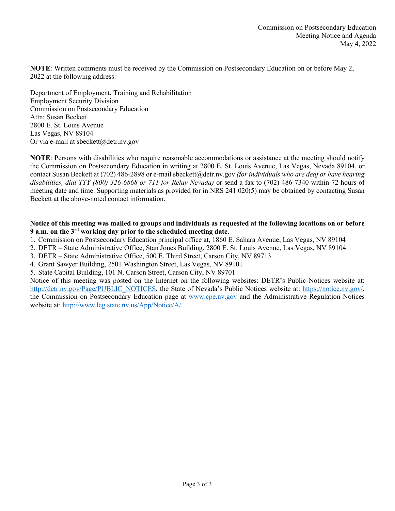**NOTE**: Written comments must be received by the Commission on Postsecondary Education on or before May 2, 2022 at the following address:

Department of Employment, Training and Rehabilitation Employment Security Division Commission on Postsecondary Education Attn: Susan Beckett 2800 E. St. Louis Avenue Las Vegas, NV 89104 Or via e-mail at sbeckett@detr.nv.gov

**NOTE**: Persons with disabilities who require reasonable accommodations or assistance at the meeting should notify the Commission on Postsecondary Education in writing at 2800 E. St. Louis Avenue, Las Vegas, Nevada 89104, or contact Susan Beckett at (702) 486-2898 or e-mail sbeckett@detr.nv.gov *(for individuals who are deaf or have hearing disabilities, dial TTY (800) 326-6868 or 711 for Relay Nevada)* or send a fax to (702) 486-7340 within 72 hours of meeting date and time. Supporting materials as provided for in NRS 241.020(5) may be obtained by contacting Susan Beckett at the above-noted contact information.

#### **Notice of this meeting was mailed to groups and individuals as requested at the following locations on or before 9 a.m. on the 3rd working day prior to the scheduled meeting date.**

1. Commission on Postsecondary Education principal office at, 1860 E. Sahara Avenue, Las Vegas, NV 89104

2. DETR – State Administrative Office, Stan Jones Building, 2800 E. St. Louis Avenue, Las Vegas, NV 89104

- 3. DETR State Administrative Office, 500 E. Third Street, Carson City, NV 89713
- 4. Grant Sawyer Building, 2501 Washington Street, Las Vegas, NV 89101

5. State Capital Building, 101 N. Carson Street, Carson City, NV 89701

Notice of this meeting was posted on the Internet on the following websites: DETR's Public Notices website at: [http://detr.nv.gov/Page/PUBLIC\\_NOTICES,](http://detr.nv.gov/Page/PUBLIC_NOTICES) the State of Nevada's Public Notices website at: [https://notice.nv.gov/,](https://notice.nv.gov/) the Commission on Postsecondary Education page at [www.cpe.nv.gov](http://www.cpe.nv.gov/) and the Administrative Regulation Notices website at: [http://www.leg.state.nv.us/App/Notice/A/.](http://www.leg.state.nv.us/App/Notice/A/)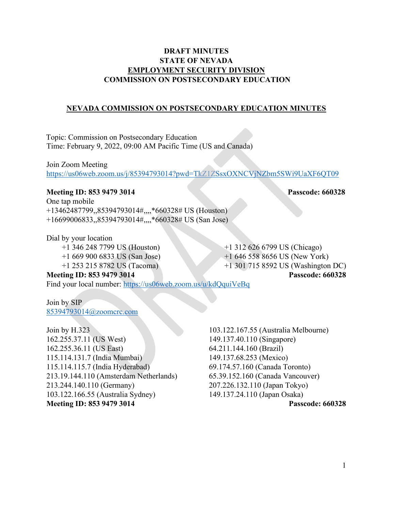## **DRAFT MINUTES STATE OF NEVADA EMPLOYMENT SECURITY DIVISION COMMISSION ON POSTSECONDARY EDUCATION**

## **NEVADA COMMISSION ON POSTSECONDARY EDUCATION MINUTES**

Topic: Commission on Postsecondary Education Time: February 9, 2022, 09:00 AM Pacific Time (US and Canada)

Join Zoom Meeting <https://us06web.zoom.us/j/85394793014?pwd=TkZ1ZSsxOXNCVjNZbm5SWi9UaXF6QT09>

## **Meeting ID: 853 9479 3014 Passcode: 660328**

One tap mobile +13462487799,,85394793014#,,,,\*660328# US (Houston) +16699006833,,85394793014#,,,,\*660328# US (San Jose)

Dial by your location

 +1 346 248 7799 US (Houston) +1 312 626 6799 US (Chicago) +1 669 900 6833 US (San Jose) +1 646 558 8656 US (New York) +1 253 215 8782 US (Tacoma) +1 301 715 8592 US (Washington DC)

**Meeting ID: 853 9479 3014 Passcode: 660328**  Find your local number:<https://us06web.zoom.us/u/kdQquiVeBq>

Join by SIP [85394793014@zoomcrc.com](mailto:85394793014@zoomcrc.com) 

Join by H.323 103.122.167.55 (Australia Melbourne) 162.255.37.11 (US West) 149.137.40.110 (Singapore) 162.255.36.11 (US East) 64.211.144.160 (Brazil) 115.114.131.7 (India Mumbai) 149.137.68.253 (Mexico) 115.114.115.7 (India Hyderabad) 69.174.57.160 (Canada Toronto) 213.19.144.110 (Amsterdam Netherlands) 65.39.152.160 (Canada Vancouver) 213.244.140.110 (Germany) 207.226.132.110 (Japan Tokyo) 103.122.166.55 (Australia Sydney) 149.137.24.110 (Japan Osaka) **Meeting ID: 853 9479 3014 Passcode: 660328**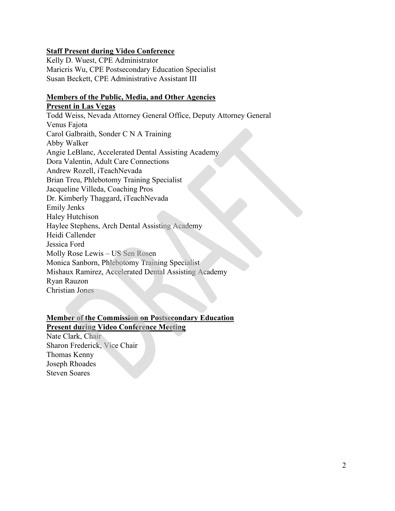## **Staff Present during Video Conference**

Kelly D. Wuest, CPE Administrator Maricris Wu, CPE Postsecondary Education Specialist Susan Beckett, CPE Administrative Assistant III

# **Members of the Public, Media, and Other Agencies**

**Present in Las Vegas**  Todd Weiss, Nevada Attorney General Office, Deputy Attorney General Venus Fajota Carol Galbraith, Sonder C N A Training Abby Walker Angie LeBlanc, Accelerated Dental Assisting Academy Dora Valentin, Adult Care Connections Andrew Rozell, iTeachNevada Brian Treu, Phlebotomy Training Specialist Jacqueline Villeda, Coaching Pros Dr. Kimberly Thaggard, iTeachNevada Emily Jenks Haley Hutchison Haylee Stephens, Arch Dental Assisting Academy Heidi Callender Jessica Ford Molly Rose Lewis – US Sen Rosen Monica Sanborn, Phlebotomy Training Specialist Mishaux Ramirez, Accelerated Dental Assisting Academy Ryan Rauzon Christian Jones

# **Member of the Commission on Postsecondary Education**

**Present during Video Conference Meeting**  Nate Clark, Chair Sharon Frederick, Vice Chair Thomas Kenny Joseph Rhoades Steven Soares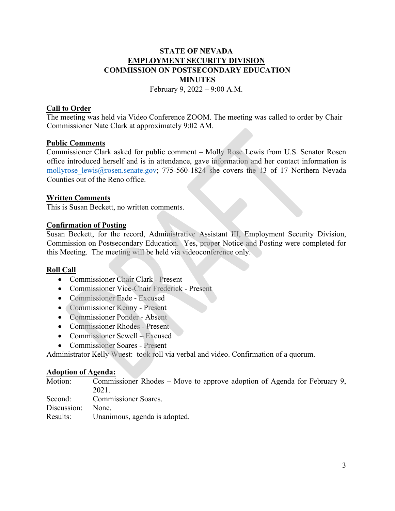# **STATE OF NEVADA EMPLOYMENT SECURITY DIVISION COMMISSION ON POSTSECONDARY EDUCATION MINUTES**

February 9,  $2022 - 9:00$  A.M.

## **Call to Order**

The meeting was held via Video Conference ZOOM. The meeting was called to order by Chair Commissioner Nate Clark at approximately 9:02 AM.

### **Public Comments**

Commissioner Clark asked for public comment – Molly Rose Lewis from U.S. Senator Rosen office introduced herself and is in attendance, gave information and her contact information is mollyrose lewis@rosen.senate.gov; 775-560-1824 she covers the 13 of 17 Northern Nevada Counties out of the Reno office.

## **Written Comments**

This is Susan Beckett, no written comments.

## **Confirmation of Posting**

Susan Beckett, for the record, Administrative Assistant III, Employment Security Division, Commission on Postsecondary Education. Yes, proper Notice and Posting were completed for this Meeting. The meeting will be held via videoconference only.

## **Roll Call**

- Commissioner Chair Clark Present
- Commissioner Vice-Chair Frederick Present
- Commissioner Eade Excused
- Commissioner Kenny Present
- Commissioner Ponder Absent
- Commissioner Rhodes Present
- Commissioner Sewell Excused
- Commissioner Soares Present

Administrator Kelly Wuest: took roll via verbal and video. Confirmation of a quorum.

### **Adoption of Agenda:**

Motion: Commissioner Rhodes – Move to approve adoption of Agenda for February 9, 2021.

Second: Commissioner Soares.

Discussion: None.

Results: Unanimous, agenda is adopted.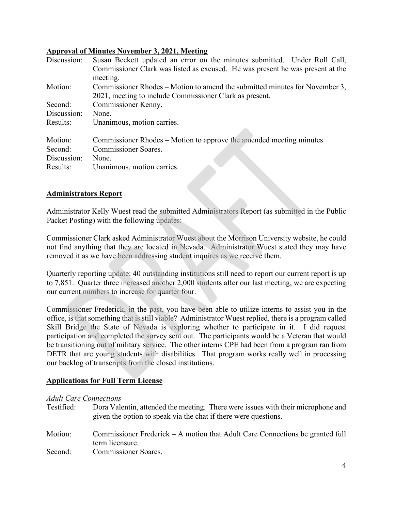## **Approval of Minutes November 3, 2021, Meeting**

| Discussion: | Susan Beckett updated an error on the minutes submitted. Under Roll Call,      |
|-------------|--------------------------------------------------------------------------------|
|             | Commissioner Clark was listed as excused. He was present he was present at the |
|             | meeting.                                                                       |
| Motion:     | Commissioner Rhodes – Motion to amend the submitted minutes for November 3,    |
|             | 2021, meeting to include Commissioner Clark as present.                        |
| Second:     | Commissioner Kenny.                                                            |
| Discussion: | None.                                                                          |
| Results:    | Unanimous, motion carries.                                                     |
|             |                                                                                |
| Motion:     | Commissioner Rhodes – Motion to approve the amended meeting minutes.           |
| Second:     | <b>Commissioner Soares.</b>                                                    |
| Discussion: | None.                                                                          |
| Results:    | Unanimous, motion carries.                                                     |

## **Administrators Report**

Administrator Kelly Wuest read the submitted Administrators Report (as submitted in the Public Packet Posting) with the following updates:

Commissioner Clark asked Administrator Wuest about the Morrison University website, he could not find anything that they are located in Nevada. Administrator Wuest stated they may have removed it as we have been addressing student inquires as we receive them.

Quarterly reporting update: 40 outstanding institutions still need to report our current report is up to 7,851. Quarter three increased another 2,000 students after our last meeting, we are expecting our current numbers to increase for quarter four.

Commissioner Frederick, in the past, you have been able to utilize interns to assist you in the office, is that something that is still viable? Administrator Wuest replied, there is a program called Skill Bridge the State of Nevada is exploring whether to participate in it. I did request participation and completed the survey sent out. The participants would be a Veteran that would be transitioning out of military service. The other interns CPE had been from a program ran from DETR that are young students with disabilities. That program works really well in processing our backlog of transcripts from the closed institutions.

## **Applications for Full Term License**

### *Adult Care Connections*

- Testified: Dora Valentin, attended the meeting. There were issues with their microphone and given the option to speak via the chat if there were questions.
- Motion: Commissioner Frederick A motion that Adult Care Connections be granted full term licensure.
- Second: Commissioner Soares.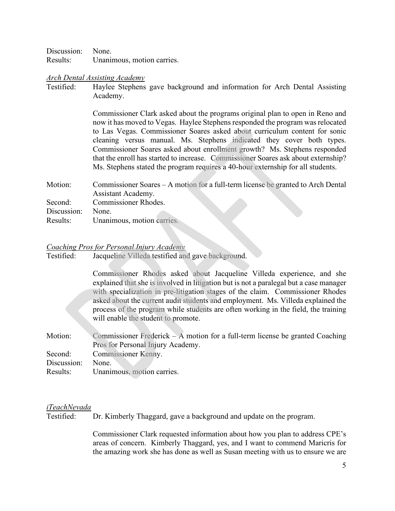Discussion: None. Results: Unanimous, motion carries.

#### *Arch Dental Assisting Academy*

Testified: Haylee Stephens gave background and information for Arch Dental Assisting Academy.

> Commissioner Clark asked about the programs original plan to open in Reno and now it has moved to Vegas. Haylee Stephens responded the program was relocated to Las Vegas. Commissioner Soares asked about curriculum content for sonic cleaning versus manual. Ms. Stephens indicated they cover both types. Commissioner Soares asked about enrollment growth? Ms. Stephens responded that the enroll has started to increase. Commissioner Soares ask about externship? Ms. Stephens stated the program requires a 40-hour externship for all students.

| Motion:     | Commissioner Soares – A motion for a full-term license be granted to Arch Dental |  |
|-------------|----------------------------------------------------------------------------------|--|
|             | Assistant Academy.                                                               |  |
| Second:     | Commissioner Rhodes.                                                             |  |
| Discussion: | None.                                                                            |  |
| Results:    | Unanimous, motion carries.                                                       |  |

#### *Coaching Pros for Personal Injury Academy*

| Testified: |  | Jacqueline Villeda testified and gave background. |  |  |
|------------|--|---------------------------------------------------|--|--|
|------------|--|---------------------------------------------------|--|--|

Commissioner Rhodes asked about Jacqueline Villeda experience, and she explained that she is involved in litigation but is not a paralegal but a case manager with specialization in pre-litigation stages of the claim. Commissioner Rhodes asked about the current audit students and employment. Ms. Villeda explained the process of the program while students are often working in the field, the training will enable the student to promote.

Motion: Commissioner Frederick – A motion for a full-term license be granted Coaching Pros for Personal Injury Academy. Second: Commissioner Kenny. Discussion: None. Results: Unanimous, motion carries.

#### *iTeachNevada*

Testified: Dr. Kimberly Thaggard, gave a background and update on the program.

> Commissioner Clark requested information about how you plan to address CPE's areas of concern. Kimberly Thaggard, yes, and I want to commend Maricris for the amazing work she has done as well as Susan meeting with us to ensure we are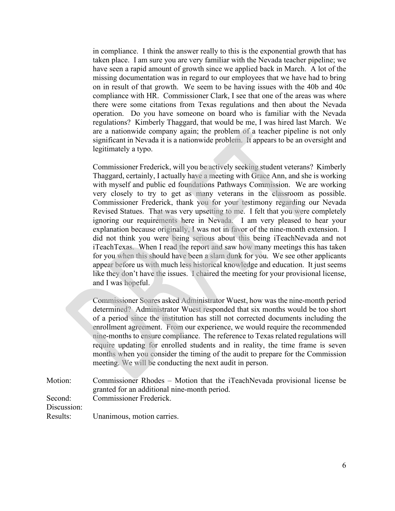in compliance. I think the answer really to this is the exponential growth that has taken place. I am sure you are very familiar with the Nevada teacher pipeline; we have seen a rapid amount of growth since we applied back in March. A lot of the missing documentation was in regard to our employees that we have had to bring on in result of that growth. We seem to be having issues with the 40b and 40c compliance with HR. Commissioner Clark, I see that one of the areas was where there were some citations from Texas regulations and then about the Nevada operation. Do you have someone on board who is familiar with the Nevada regulations? Kimberly Thaggard, that would be me, I was hired last March. We are a nationwide company again; the problem of a teacher pipeline is not only significant in Nevada it is a nationwide problem. It appears to be an oversight and legitimately a typo.

Commissioner Frederick, will you be actively seeking student veterans? Kimberly Thaggard, certainly, I actually have a meeting with Grace Ann, and she is working with myself and public ed foundations Pathways Commission. We are working very closely to try to get as many veterans in the classroom as possible. Commissioner Frederick, thank you for your testimony regarding our Nevada Revised Statues. That was very upsetting to me. I felt that you were completely ignoring our requirements here in Nevada. I am very pleased to hear your explanation because originally, I was not in favor of the nine-month extension. I did not think you were being serious about this being iTeachNevada and not iTeachTexas. When I read the report and saw how many meetings this has taken for you when this should have been a slam dunk for you. We see other applicants appear before us with much less historical knowledge and education. It just seems like they don't have the issues. I chaired the meeting for your provisional license, and I was hopeful.

Commissioner Soares asked Administrator Wuest, how was the nine-month period determined? Administrator Wuest responded that six months would be too short of a period since the institution has still not corrected documents including the enrollment agreement. From our experience, we would require the recommended nine-months to ensure compliance. The reference to Texas related regulations will require updating for enrolled students and in reality, the time frame is seven months when you consider the timing of the audit to prepare for the Commission meeting. We will be conducting the next audit in person.

Motion: Commissioner Rhodes – Motion that the iTeachNevada provisional license be granted for an additional nine-month period. Second: Commissioner Frederick. Discussion: Results: Unanimous, motion carries.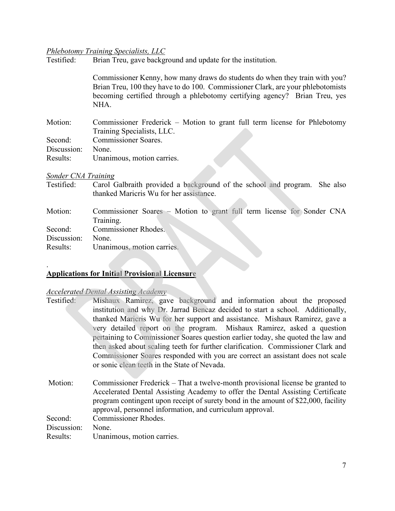#### *Phlebotomy Training Specialists, LLC*

Testified: Brian Treu, gave background and update for the institution.

Commissioner Kenny, how many draws do students do when they train with you? Brian Treu, 100 they have to do 100. Commissioner Clark, are your phlebotomists becoming certified through a phlebotomy certifying agency? Brian Treu, yes NHA.

Motion: Commissioner Frederick – Motion to grant full term license for Phlebotomy Training Specialists, LLC. Second: Commissioner Soares. Discussion: None. Results: Unanimous, motion carries.

# *Sonder CNA Training*

| Testified: | Carol Galbraith provided a background of the school and program. She also |
|------------|---------------------------------------------------------------------------|
|            | thanked Maricris Wu for her assistance.                                   |
| Motion:    | Commissioner Soares – Motion to grant full term license for Sonder CNA    |

Training.

Second: Commissioner Rhodes.

Discussion: None.

.

Results: Unanimous, motion carries.

### **Applications for Initial Provisional Licensure**

#### *Accelerated Dental Assisting Academy*

| Testified: | Mishaux Ramirez, gave background and information about the proposed              |
|------------|----------------------------------------------------------------------------------|
|            | institution and why Dr. Jarrad Bencaz decided to start a school. Additionally,   |
|            | thanked Maricris Wu for her support and assistance. Mishaux Ramirez, gave a      |
|            | very detailed report on the program. Mishaux Ramirez, asked a question           |
|            | pertaining to Commissioner Soares question earlier today, she quoted the law and |
|            | then asked about scaling teeth for further clarification. Commissioner Clark and |
|            | Commissioner Soares responded with you are correct an assistant does not scale   |
|            | or sonic clean teeth in the State of Nevada.                                     |
|            |                                                                                  |
|            | $\mathbf{r}$ , and the set of the set of the set of $\mathbf{r}$                 |

Motion: Commissioner Frederick – That a twelve-month provisional license be granted to Accelerated Dental Assisting Academy to offer the Dental Assisting Certificate program contingent upon receipt of surety bond in the amount of \$22,000, facility approval, personnel information, and curriculum approval. Second: Commissioner Rhodes. Discussion: None. Results: Unanimous, motion carries.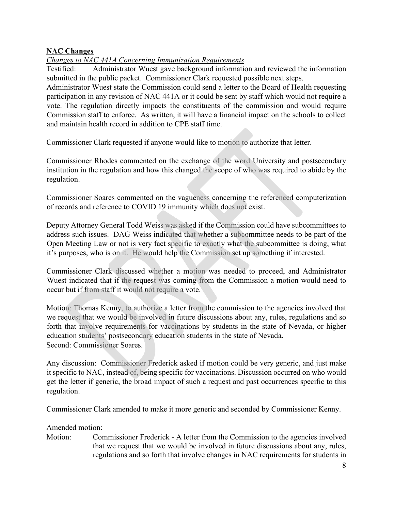## **NAC Changes**

# *Changes to NAC 441A Concerning Immunization Requirements*

Testified: Administrator Wuest gave background information and reviewed the information submitted in the public packet. Commissioner Clark requested possible next steps.

Administrator Wuest state the Commission could send a letter to the Board of Health requesting participation in any revision of NAC 441A or it could be sent by staff which would not require a vote. The regulation directly impacts the constituents of the commission and would require Commission staff to enforce. As written, it will have a financial impact on the schools to collect and maintain health record in addition to CPE staff time.

Commissioner Clark requested if anyone would like to motion to authorize that letter.

Commissioner Rhodes commented on the exchange of the word University and postsecondary institution in the regulation and how this changed the scope of who was required to abide by the regulation.

Commissioner Soares commented on the vagueness concerning the referenced computerization of records and reference to COVID 19 immunity which does not exist.

Deputy Attorney General Todd Weiss was asked if the Commission could have subcommittees to address such issues. DAG Weiss indicated that whether a subcommittee needs to be part of the Open Meeting Law or not is very fact specific to exactly what the subcommittee is doing, what it's purposes, who is on it. He would help the Commission set up something if interested.

Commissioner Clark discussed whether a motion was needed to proceed, and Administrator Wuest indicated that if the request was coming from the Commission a motion would need to occur but if from staff it would not require a vote.

Motion: Thomas Kenny, to authorize a letter from the commission to the agencies involved that we request that we would be involved in future discussions about any, rules, regulations and so forth that involve requirements for vaccinations by students in the state of Nevada, or higher education students' postsecondary education students in the state of Nevada. Second: Commissioner Soares.

Any discussion: Commissioner Frederick asked if motion could be very generic, and just make it specific to NAC, instead of, being specific for vaccinations. Discussion occurred on who would get the letter if generic, the broad impact of such a request and past occurrences specific to this regulation.

Commissioner Clark amended to make it more generic and seconded by Commissioner Kenny.

## Amended motion:

Motion: Commissioner Frederick - A letter from the Commission to the agencies involved that we request that we would be involved in future discussions about any, rules, regulations and so forth that involve changes in NAC requirements for students in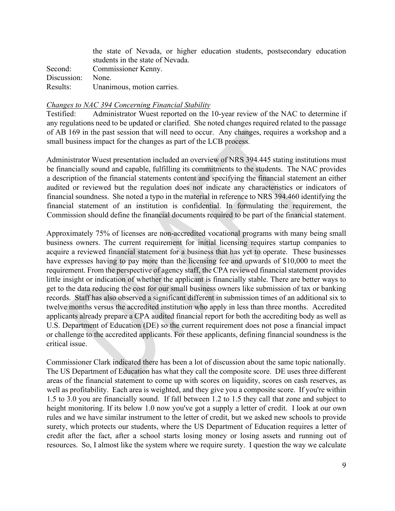|             | the state of Nevada, or higher education students, postsecondary education |
|-------------|----------------------------------------------------------------------------|
|             | students in the state of Nevada.                                           |
| Second:     | Commissioner Kenny.                                                        |
| Discussion: | None.                                                                      |
| Results:    | Unanimous, motion carries.                                                 |

#### *Changes to NAC 394 Concerning Financial Stability*

Testified: Administrator Wuest reported on the 10-year review of the NAC to determine if any regulations need to be updated or clarified. She noted changes required related to the passage of AB 169 in the past session that will need to occur. Any changes, requires a workshop and a small business impact for the changes as part of the LCB process.

Administrator Wuest presentation included an overview of NRS 394.445 stating institutions must be financially sound and capable, fulfilling its commitments to the students. The NAC provides a description of the financial statements content and specifying the financial statement an either audited or reviewed but the regulation does not indicate any characteristics or indicators of financial soundness. She noted a typo in the material in reference to NRS 394.460 identifying the financial statement of an institution is confidential. In formulating the requirement, the Commission should define the financial documents required to be part of the financial statement.

Approximately 75% of licenses are non-accredited vocational programs with many being small business owners. The current requirement for initial licensing requires startup companies to acquire a reviewed financial statement for a business that has yet to operate. These businesses have expresses having to pay more than the licensing fee and upwards of \$10,000 to meet the requirement. From the perspective of agency staff, the CPA reviewed financial statement provides little insight or indication of whether the applicant is financially stable. There are better ways to get to the data reducing the cost for our small business owners like submission of tax or banking records. Staff has also observed a significant different in submission times of an additional six to twelve months versus the accredited institution who apply in less than three months. Accredited applicants already prepare a CPA audited financial report for both the accrediting body as well as U.S. Department of Education (DE) so the current requirement does not pose a financial impact or challenge to the accredited applicants. For these applicants, defining financial soundness is the critical issue.

Commissioner Clark indicated there has been a lot of discussion about the same topic nationally. The US Department of Education has what they call the composite score. DE uses three different areas of the financial statement to come up with scores on liquidity, scores on cash reserves, as well as profitability. Each area is weighted, and they give you a composite score. If you're within 1.5 to 3.0 you are financially sound. If fall between 1.2 to 1.5 they call that zone and subject to height monitoring. If its below 1.0 now you've got a supply a letter of credit. I look at our own rules and we have similar instrument to the letter of credit, but we asked new schools to provide surety, which protects our students, where the US Department of Education requires a letter of credit after the fact, after a school starts losing money or losing assets and running out of resources. So, I almost like the system where we require surety. I question the way we calculate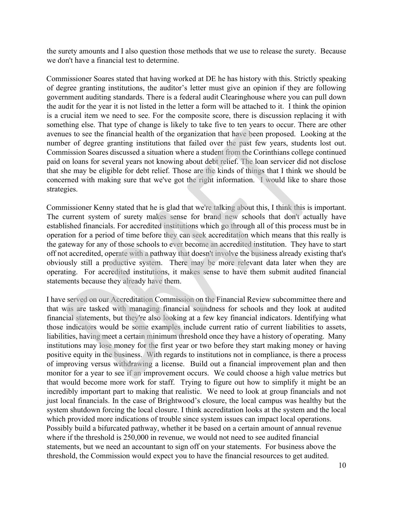the surety amounts and I also question those methods that we use to release the surety. Because we don't have a financial test to determine.

Commissioner Soares stated that having worked at DE he has history with this. Strictly speaking of degree granting institutions, the auditor's letter must give an opinion if they are following government auditing standards. There is a federal audit Clearinghouse where you can pull down the audit for the year it is not listed in the letter a form will be attached to it. I think the opinion is a crucial item we need to see. For the composite score, there is discussion replacing it with something else. That type of change is likely to take five to ten years to occur. There are other avenues to see the financial health of the organization that have been proposed. Looking at the number of degree granting institutions that failed over the past few years, students lost out. Commission Soares discussed a situation where a student from the Corinthians college continued paid on loans for several years not knowing about debt relief. The loan servicer did not disclose that she may be eligible for debt relief. Those are the kinds of things that I think we should be concerned with making sure that we've got the right information. I would like to share those strategies.

Commissioner Kenny stated that he is glad that we're talking about this, I think this is important. The current system of surety makes sense for brand new schools that don't actually have established financials. For accredited institutions which go through all of this process must be in operation for a period of time before they can seek accreditation which means that this really is the gateway for any of those schools to ever become an accredited institution. They have to start off not accredited, operate with a pathway that doesn't involve the business already existing that's obviously still a productive system. There may be more relevant data later when they are operating. For accredited institutions, it makes sense to have them submit audited financial statements because they already have them.

I have served on our Accreditation Commission on the Financial Review subcommittee there and that was are tasked with managing financial soundness for schools and they look at audited financial statements, but they're also looking at a few key financial indicators. Identifying what those indicators would be some examples include current ratio of current liabilities to assets, liabilities, having meet a certain minimum threshold once they have a history of operating. Many institutions may lose money for the first year or two before they start making money or having positive equity in the business. With regards to institutions not in compliance, is there a process of improving versus withdrawing a license. Build out a financial improvement plan and then monitor for a year to see if an improvement occurs. We could choose a high value metrics but that would become more work for staff. Trying to figure out how to simplify it might be an incredibly important part to making that realistic. We need to look at group financials and not just local financials. In the case of Brightwood's closure, the local campus was healthy but the system shutdown forcing the local closure. I think accreditation looks at the system and the local which provided more indications of trouble since system issues can impact local operations. Possibly build a bifurcated pathway, whether it be based on a certain amount of annual revenue where if the threshold is 250,000 in revenue, we would not need to see audited financial statements, but we need an accountant to sign off on your statements. For business above the threshold, the Commission would expect you to have the financial resources to get audited.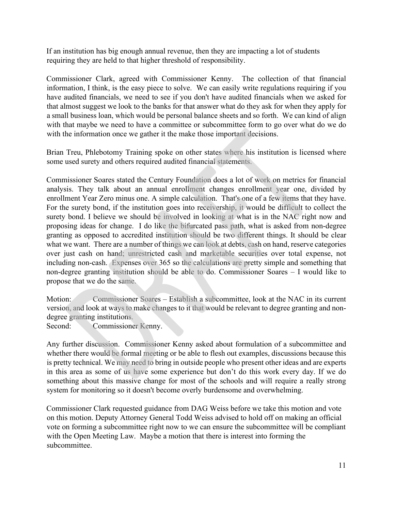If an institution has big enough annual revenue, then they are impacting a lot of students requiring they are held to that higher threshold of responsibility.

Commissioner Clark, agreed with Commissioner Kenny. The collection of that financial information, I think, is the easy piece to solve. We can easily write regulations requiring if you have audited financials, we need to see if you don't have audited financials when we asked for that almost suggest we look to the banks for that answer what do they ask for when they apply for a small business loan, which would be personal balance sheets and so forth. We can kind of align with that maybe we need to have a committee or subcommittee form to go over what do we do with the information once we gather it the make those important decisions.

Brian Treu, Phlebotomy Training spoke on other states where his institution is licensed where some used surety and others required audited financial statements.

Commissioner Soares stated the Century Foundation does a lot of work on metrics for financial analysis. They talk about an annual enrollment changes enrollment year one, divided by enrollment Year Zero minus one. A simple calculation. That's one of a few items that they have. For the surety bond, if the institution goes into receivership, it would be difficult to collect the surety bond. I believe we should be involved in looking at what is in the NAC right now and proposing ideas for change. I do like the bifurcated pass path, what is asked from non-degree granting as opposed to accredited institution should be two different things. It should be clear what we want. There are a number of things we can look at debts, cash on hand, reserve categories over just cash on hand; unrestricted cash and marketable securities over total expense, not including non-cash. Expenses over 365 so the calculations are pretty simple and something that non-degree granting institution should be able to do. Commissioner Soares – I would like to propose that we do the same.

Motion: Commissioner Soares – Establish a subcommittee, look at the NAC in its current version, and look at ways to make changes to it that would be relevant to degree granting and nondegree granting institutions.

Second: Commissioner Kenny.

Any further discussion. Commissioner Kenny asked about formulation of a subcommittee and whether there would be formal meeting or be able to flesh out examples, discussions because this is pretty technical. We may need to bring in outside people who present other ideas and are experts in this area as some of us have some experience but don't do this work every day. If we do something about this massive change for most of the schools and will require a really strong system for monitoring so it doesn't become overly burdensome and overwhelming.

 on this motion. Deputy Attorney General Todd Weiss advised to hold off on making an official vote on forming a subcommittee right now to we can ensure the subcommittee will be compliant with the Open Meeting Law. Maybe a motion that there is interest into forming the Commissioner Clark requested guidance from DAG Weiss before we take this motion and vote subcommittee.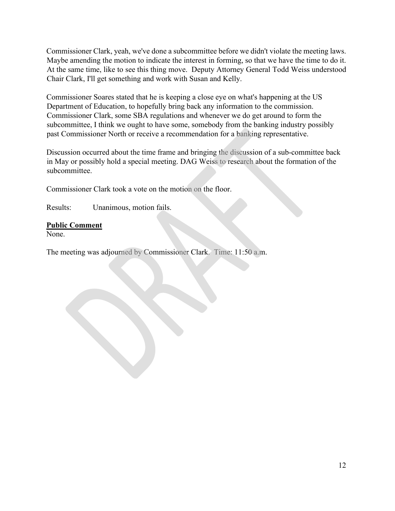Commissioner Clark, yeah, we've done a subcommittee before we didn't violate the meeting laws. Maybe amending the motion to indicate the interest in forming, so that we have the time to do it. At the same time, like to see this thing move. Deputy Attorney General Todd Weiss understood Chair Clark, I'll get something and work with Susan and Kelly.

Commissioner Soares stated that he is keeping a close eye on what's happening at the US Department of Education, to hopefully bring back any information to the commission. Commissioner Clark, some SBA regulations and whenever we do get around to form the subcommittee, I think we ought to have some, somebody from the banking industry possibly past Commissioner North or receive a recommendation for a banking representative.

Discussion occurred about the time frame and bringing the discussion of a sub-committee back in May or possibly hold a special meeting. DAG Weiss to research about the formation of the subcommittee.

Commissioner Clark took a vote on the motion on the floor.

Results: Unanimous, motion fails.

# **Public Comment**

None.

The meeting was adjourned by Commissioner Clark. Time: 11:50 a.m.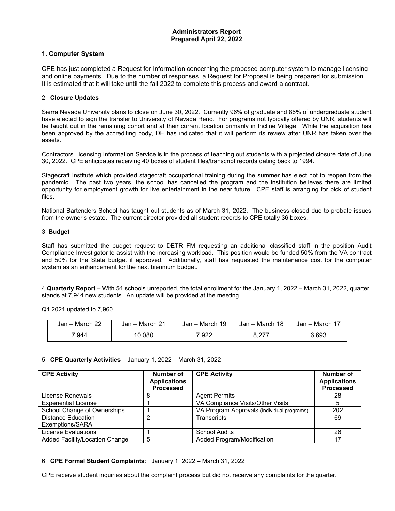#### **1. Computer System**

CPE has just completed a Request for Information concerning the proposed computer system to manage licensing and online payments. Due to the number of responses, a Request for Proposal is being prepared for submission. It is estimated that it will take until the fall 2022 to complete this process and award a contract.

#### 2. **Closure Updates**

Sierra Nevada University plans to close on June 30, 2022. Currently 96% of graduate and 86% of undergraduate student have elected to sign the transfer to University of Nevada Reno. For programs not typically offered by UNR, students will be taught out in the remaining cohort and at their current location primarily in Incline Village. While the acquisition has been approved by the accrediting body, DE has indicated that it will perform its review after UNR has taken over the assets.

Contractors Licensing Information Service is in the process of teaching out students with a projected closure date of June 30, 2022. CPE anticipates receiving 40 boxes of student files/transcript records dating back to 1994.

Stagecraft Institute which provided stagecraft occupational training during the summer has elect not to reopen from the pandemic. The past two years, the school has cancelled the program and the institution believes there are limited opportunity for employment growth for live entertainment in the near future. CPE staff is arranging for pick of student files.

National Bartenders School has taught out students as of March 31, 2022. The business closed due to probate issues from the owner's estate. The current director provided all student records to CPE totally 36 boxes.

#### 3. **Budget**

Staff has submitted the budget request to DETR FM requesting an additional classified staff in the position Audit Compliance Investigator to assist with the increasing workload. This position would be funded 50% from the VA contract and 50% for the State budget if approved. Additionally, staff has requested the maintenance cost for the computer system as an enhancement for the next biennium budget.

4 **Quarterly Report** – With 51 schools unreported, the total enrollment for the January 1, 2022 – March 31, 2022, quarter stands at 7,944 new students. An update will be provided at the meeting.

Q4 2021 updated to 7,960

| Jan - March 22 | Jan – March 21 | Jan - March 19 | Jan – March 18  | Jan – March 17 |
|----------------|----------------|----------------|-----------------|----------------|
| 944∶           | 10.080         | .922           | . 277<br>، اے ب | 6,693          |

#### 5. **CPE Quarterly Activities** – January 1, 2022 – March 31, 2022

| <b>CPE Activity</b>            | Number of<br><b>Applications</b><br><b>Processed</b> | <b>CPE Activity</b>                        | Number of<br><b>Applications</b><br><b>Processed</b> |
|--------------------------------|------------------------------------------------------|--------------------------------------------|------------------------------------------------------|
| License Renewals               | 8                                                    | <b>Agent Permits</b>                       | 28                                                   |
| <b>Experiential License</b>    |                                                      | VA Compliance Visits/Other Visits          |                                                      |
| School Change of Ownerships    |                                                      | VA Program Approvals (individual programs) | 202                                                  |
| <b>Distance Education</b>      | 2                                                    | Transcripts                                | 69                                                   |
| Exemptions/SARA                |                                                      |                                            |                                                      |
| License Evaluations            |                                                      | <b>School Audits</b>                       | 26                                                   |
| Added Facility/Location Change | 5                                                    | Added Program/Modification                 | 17                                                   |

6. **CPE Formal Student Complaints**: January 1, 2022 – March 31, 2022

CPE receive student inquiries about the complaint process but did not receive any complaints for the quarter.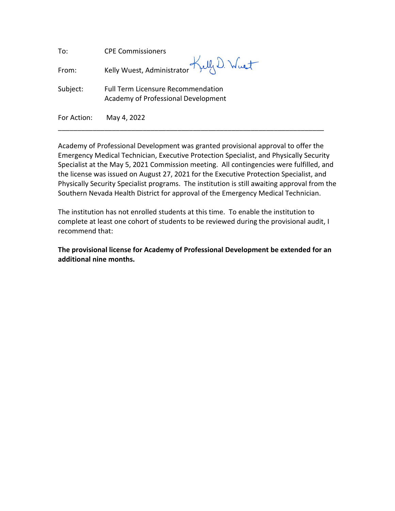| To:         | <b>CPE Commissioners</b>                                                         |
|-------------|----------------------------------------------------------------------------------|
| From:       | Kelly Wuest, Administrator Kelly D. Wust                                         |
| Subject:    | <b>Full Term Licensure Recommendation</b><br>Academy of Professional Development |
| For Action: | May 4, 2022                                                                      |

Academy of Professional Development was granted provisional approval to offer the Emergency Medical Technician, Executive Protection Specialist, and Physically Security Specialist at the May 5, 2021 Commission meeting. All contingencies were fulfilled, and the license was issued on August 27, 2021 for the Executive Protection Specialist, and Physically Security Specialist programs. The institution is still awaiting approval from the Southern Nevada Health District for approval of the Emergency Medical Technician.

The institution has not enrolled students at this time. To enable the institution to complete at least one cohort of students to be reviewed during the provisional audit, I recommend that:

**The provisional license for Academy of Professional Development be extended for an additional nine months.**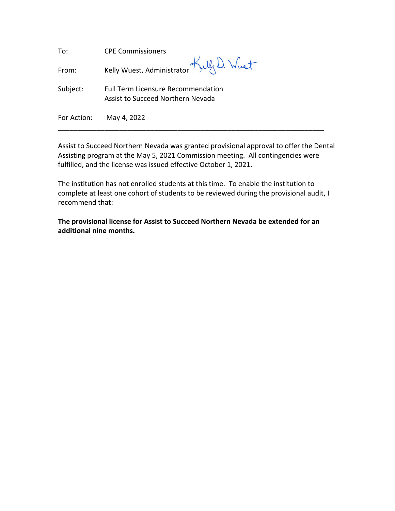| To:         | <b>CPE Commissioners</b>                                                       |
|-------------|--------------------------------------------------------------------------------|
| From:       | Kelly Wuest, Administrator Kelly D. Wust                                       |
| Subject:    | <b>Full Term Licensure Recommendation</b><br>Assist to Succeed Northern Nevada |
| For Action: | May 4, 2022                                                                    |

Assist to Succeed Northern Nevada was granted provisional approval to offer the Dental Assisting program at the May 5, 2021 Commission meeting. All contingencies were fulfilled, and the license was issued effective October 1, 2021.

The institution has not enrolled students at this time. To enable the institution to complete at least one cohort of students to be reviewed during the provisional audit, I recommend that:

**The provisional license for Assist to Succeed Northern Nevada be extended for an additional nine months.**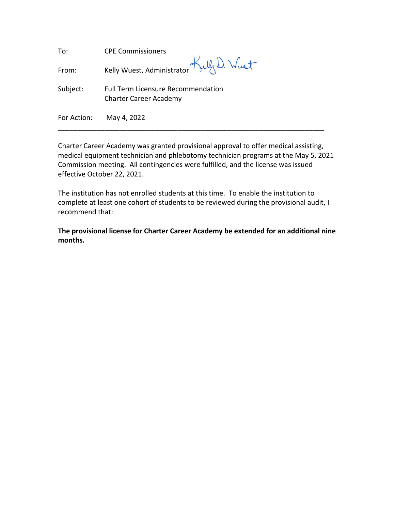| To:         | <b>CPE Commissioners</b>                                                   |
|-------------|----------------------------------------------------------------------------|
| From:       | Kelly Wuest, Administrator Kelly D. Wust                                   |
| Subject:    | <b>Full Term Licensure Recommendation</b><br><b>Charter Career Academy</b> |
| For Action: | May 4, 2022                                                                |

Charter Career Academy was granted provisional approval to offer medical assisting, medical equipment technician and phlebotomy technician programs at the May 5, 2021 Commission meeting. All contingencies were fulfilled, and the license was issued effective October 22, 2021.

The institution has not enrolled students at this time. To enable the institution to complete at least one cohort of students to be reviewed during the provisional audit, I recommend that:

**The provisional license for Charter Career Academy be extended for an additional nine months.**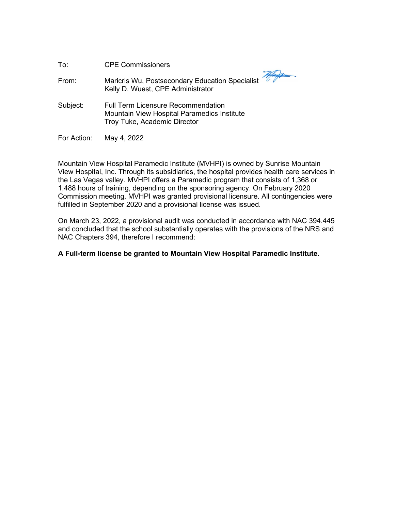| To:         | <b>CPE Commissioners</b>                                                                                                 |
|-------------|--------------------------------------------------------------------------------------------------------------------------|
| From:       | Maricris Wu, Postsecondary Education Specialist<br>Kelly D. Wuest, CPE Administrator                                     |
| Subject:    | <b>Full Term Licensure Recommendation</b><br>Mountain View Hospital Paramedics Institute<br>Troy Tuke, Academic Director |
| For Action: | May 4, 2022                                                                                                              |

Mountain View Hospital Paramedic Institute (MVHPI) is owned by Sunrise Mountain View Hospital, Inc. Through its subsidiaries, the hospital provides health care services in the Las Vegas valley. MVHPI offers a Paramedic program that consists of 1,368 or 1,488 hours of training, depending on the sponsoring agency. On February 2020 Commission meeting, MVHPI was granted provisional licensure. All contingencies were fulfilled in September 2020 and a provisional license was issued.

On March 23, 2022, a provisional audit was conducted in accordance with NAC 394.445 and concluded that the school substantially operates with the provisions of the NRS and NAC Chapters 394, therefore I recommend:

## **A Full-term license be granted to Mountain View Hospital Paramedic Institute.**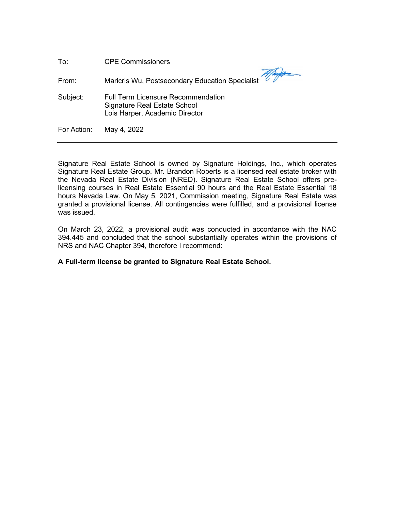| To:         | <b>CPE Commissioners</b>                                                                                    |
|-------------|-------------------------------------------------------------------------------------------------------------|
| From:       | Maricris Wu, Postsecondary Education Specialist                                                             |
| Subject:    | <b>Full Term Licensure Recommendation</b><br>Signature Real Estate School<br>Lois Harper, Academic Director |
| For Action: | May 4, 2022                                                                                                 |

Signature Real Estate School is owned by Signature Holdings, Inc., which operates Signature Real Estate Group. Mr. Brandon Roberts is a licensed real estate broker with the Nevada Real Estate Division (NRED). Signature Real Estate School offers prelicensing courses in Real Estate Essential 90 hours and the Real Estate Essential 18 hours Nevada Law. On May 5, 2021, Commission meeting, Signature Real Estate was granted a provisional license. All contingencies were fulfilled, and a provisional license was issued.

On March 23, 2022, a provisional audit was conducted in accordance with the NAC 394.445 and concluded that the school substantially operates within the provisions of NRS and NAC Chapter 394, therefore I recommend:

### **A Full-term license be granted to Signature Real Estate School.**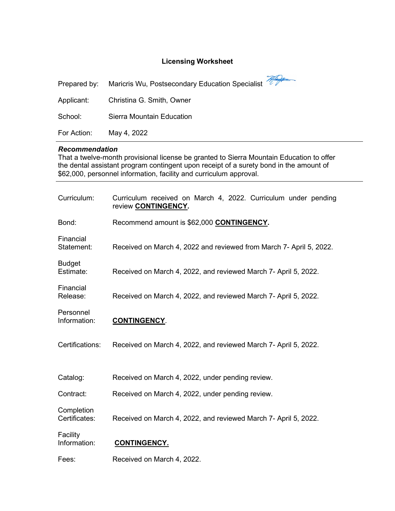## Licensing Worksheet

#### Recommendation

| Applicant:                                                                                                                                                                                                                                                                        | Christina G. Smith, Owner                                                                     |  |
|-----------------------------------------------------------------------------------------------------------------------------------------------------------------------------------------------------------------------------------------------------------------------------------|-----------------------------------------------------------------------------------------------|--|
| School:                                                                                                                                                                                                                                                                           | Sierra Mountain Education                                                                     |  |
| For Action:                                                                                                                                                                                                                                                                       | May 4, 2022                                                                                   |  |
| <b>Recommendation</b><br>That a twelve-month provisional license be granted to Sierra Mountain Education to offer<br>the dental assistant program contingent upon receipt of a surety bond in the amount of<br>\$62,000, personnel information, facility and curriculum approval. |                                                                                               |  |
| Curriculum:                                                                                                                                                                                                                                                                       | Curriculum received on March 4, 2022. Curriculum under pending<br>review <b>CONTINGENCY</b> . |  |
| Bond:                                                                                                                                                                                                                                                                             | Recommend amount is \$62,000 CONTINGENCY.                                                     |  |
| Financial<br>Statement:                                                                                                                                                                                                                                                           | Received on March 4, 2022 and reviewed from March 7- April 5, 2022.                           |  |
| <b>Budget</b><br>Estimate:                                                                                                                                                                                                                                                        | Received on March 4, 2022, and reviewed March 7- April 5, 2022.                               |  |
| Financial<br>Release:                                                                                                                                                                                                                                                             | Received on March 4, 2022, and reviewed March 7- April 5, 2022.                               |  |
| Personnel<br>Information:                                                                                                                                                                                                                                                         | <b>CONTINGENCY.</b>                                                                           |  |
| Certifications:                                                                                                                                                                                                                                                                   | Received on March 4, 2022, and reviewed March 7- April 5, 2022.                               |  |
| Catalog:                                                                                                                                                                                                                                                                          | Received on March 4, 2022, under pending review.                                              |  |
| Contract:                                                                                                                                                                                                                                                                         | Received on March 4, 2022, under pending review.                                              |  |
| Completion<br>Certificates:                                                                                                                                                                                                                                                       | Received on March 4, 2022, and reviewed March 7- April 5, 2022.                               |  |
| Facility<br>Information:                                                                                                                                                                                                                                                          | <b>CONTINGENCY.</b>                                                                           |  |
| Fees:                                                                                                                                                                                                                                                                             | Received on March 4, 2022.                                                                    |  |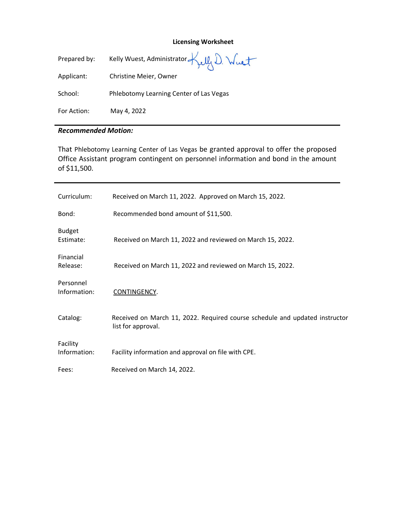#### **Licensing Worksheet**

| Prepared by: | Kelly Wuest, Administrator Kelly D. Wust |
|--------------|------------------------------------------|
| Applicant:   | Christine Meier, Owner                   |
| School:      | Phlebotomy Learning Center of Las Vegas  |
| For Action:  | May 4, 2022                              |

#### *Recommended Motion:*

That Phlebotomy Learning Center of Las Vegas be granted approval to offer the proposed Office Assistant program contingent on personnel information and bond in the amount of \$11,500.

| Curriculum:                | Received on March 11, 2022. Approved on March 15, 2022.                                           |
|----------------------------|---------------------------------------------------------------------------------------------------|
| Bond:                      | Recommended bond amount of \$11,500.                                                              |
| <b>Budget</b><br>Estimate: | Received on March 11, 2022 and reviewed on March 15, 2022.                                        |
| Financial<br>Release:      | Received on March 11, 2022 and reviewed on March 15, 2022.                                        |
| Personnel<br>Information:  | CONTINGENCY.                                                                                      |
| Catalog:                   | Received on March 11, 2022. Required course schedule and updated instructor<br>list for approval. |
| Facility<br>Information:   | Facility information and approval on file with CPE.                                               |
| Fees:                      | Received on March 14, 2022.                                                                       |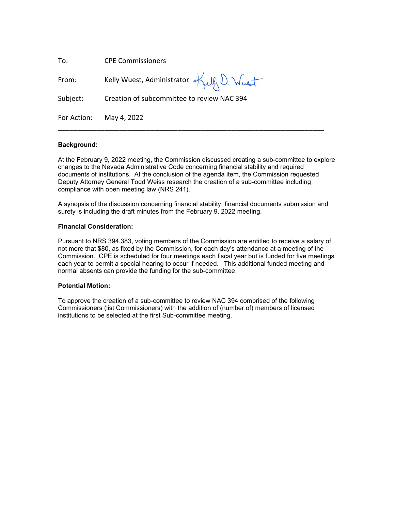| To:         | <b>CPE Commissioners</b>                   |
|-------------|--------------------------------------------|
| From:       | Kelly Wuest, Administrator Kelly D. Wuet   |
| Subject:    | Creation of subcommittee to review NAC 394 |
| For Action: | May 4, 2022                                |

#### **Background:**

At the February 9, 2022 meeting, the Commission discussed creating a sub-committee to explore changes to the Nevada Administrative Code concerning financial stability and required documents of institutions. At the conclusion of the agenda item, the Commission requested Deputy Attorney General Todd Weiss research the creation of a sub-committee including compliance with open meeting law (NRS 241).

A synopsis of the discussion concerning financial stability, financial documents submission and surety is including the draft minutes from the February 9, 2022 meeting.

#### **Financial Consideration:**

Pursuant to NRS 394.383, voting members of the Commission are entitled to receive a salary of not more that \$80, as fixed by the Commission, for each day's attendance at a meeting of the Commission. CPE is scheduled for four meetings each fiscal year but is funded for five meetings each year to permit a special hearing to occur if needed. This additional funded meeting and normal absents can provide the funding for the sub-committee.

#### **Potential Motion:**

To approve the creation of a sub-committee to review NAC 394 comprised of the following Commissioners (list Commissioners) with the addition of (number of) members of licensed institutions to be selected at the first Sub-committee meeting.